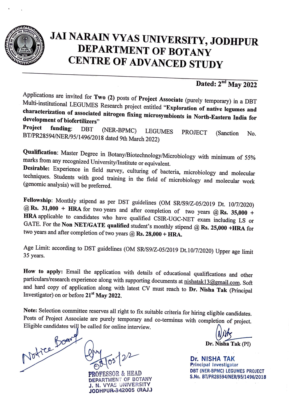

## **JAi NARAIN VYAS UNIVERSITY, JODHPUR DEPARTMENT OF BOTANY CENTRE OF ADVANCED STUDY**

## **Dated: 2°d May 2022**

Applications are invited for **Two (2)** posts of **Project Associate** (purely temporary) in a DBT Multi-institutional LEGUMES Research project entitled **"Exploration of native legumes and characterization of associated nitrogen fixing microsymbionts in North-Eastern India for development of biofertilizers"** 

**Project funding:** DBT (NER-BPMC) LEGUMES PROJECT (Sanction No. BT/PR28594INER/95/1496/2018 dated 9th March 2022)

**Qualification:** Master Degree in Botany/Biotechnology/Microbiology with minimum of 55% marks from any recognized University/Institute or equivalent.

**Desirable:** Experience in field survey, culturing of bacteria, microbiology and molecular techniques. Students with good training in the field of microbiology and molecular work (genomic analysis) will be preferred.

Fellowship: Monthly stipend as per DST guidelines (OM SR/S9/Z-05/2019 Dt. 10/7/2020) **@ Rs. 31,000 + HRA** for two years and after completion of two years **@ Rs. 35,000 + HRA** applicable to candidates who have qualified CSIR-UGC-NET exam including LS or GATE. For the **Non NET/GATE** qualified student's monthly stipend @ Rs. 25,000 +HRA for two years and after completion of two years @ **Rs. 28,000** + **HRA.** 

Age Limit: according to DST guidelines (OM SR/S9/Z-05/2019 Dt.10/7/2020) Upper age limit 35 years.

**How to apply:** Email the application with details of educational qualifications and other particulars/research experience along with supporting documents at nishatak13@gmail.com. Soft and hard copy of application along with latest CV must reach to **Dr. Nisha Tak** (Principal Investigator) on or before **21st May 2022.** 

**Note:** Selection committee reserves all right to fix suitable criteria for hiring eligible candidates. Posts of Project Associate are purely temporary and co-terminus with completion of project.<br>Eligible candidates will be called for online interview.

It can be called to off the merview.<br>It can be called to off the merview.<br>It can be called to off the merview.  $\sqrt{p^2 + p^2}$  Dr. NISHA TAK

PARTMENT OF BOTANY N. VYAS UNIVERSITY JODHPUR-342005 (RAJ.)

Principal Investigator DBT (NER-BPMC) LEGUMES PROJECT PROFESSOR & HEAD S.No. BT/PR28594/NER/95/1496/2018